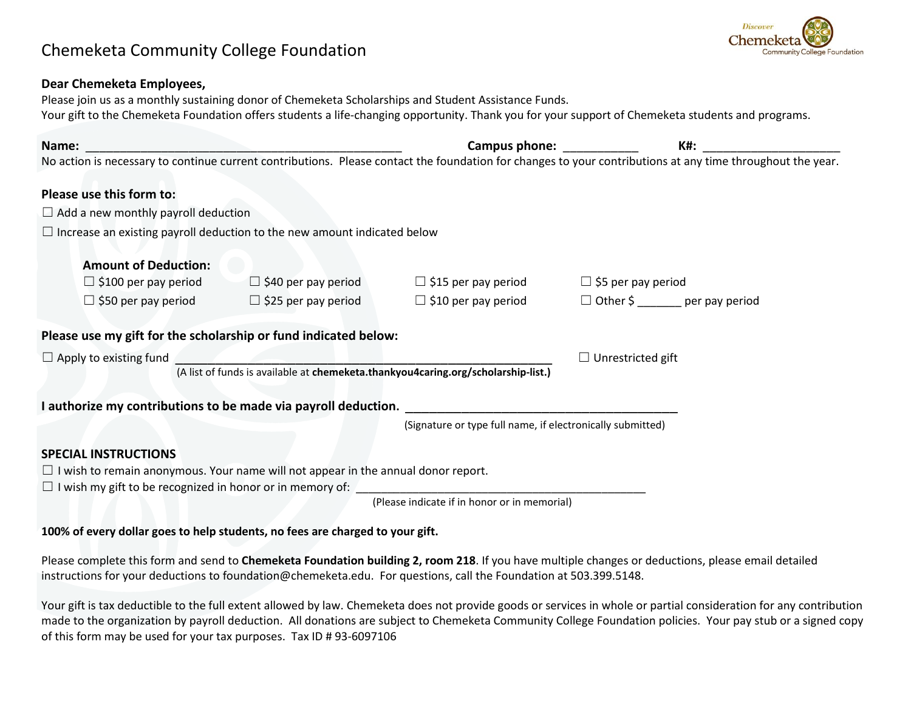## Chemeketa Community College Foundation



## **Dear Chemeketa Employees,**

Please join us as a monthly sustaining donor of Chemeketa Scholarships and Student Assistance Funds. Your gift to the Chemeketa Foundation offers students a life-changing opportunity. Thank you for your support of Chemeketa students and programs.

| Name: _                                                                                  | <u> 1980 - Johann Stein, marwolaethau (b. 1980)</u> | Campus phone: the campus phone:                                                   | K#:                                                                                                                                                        |
|------------------------------------------------------------------------------------------|-----------------------------------------------------|-----------------------------------------------------------------------------------|------------------------------------------------------------------------------------------------------------------------------------------------------------|
|                                                                                          |                                                     |                                                                                   | No action is necessary to continue current contributions. Please contact the foundation for changes to your contributions at any time throughout the year. |
| Please use this form to:                                                                 |                                                     |                                                                                   |                                                                                                                                                            |
| $\Box$ Add a new monthly payroll deduction                                               |                                                     |                                                                                   |                                                                                                                                                            |
| $\Box$ Increase an existing payroll deduction to the new amount indicated below          |                                                     |                                                                                   |                                                                                                                                                            |
| <b>Amount of Deduction:</b>                                                              |                                                     |                                                                                   |                                                                                                                                                            |
| $\Box$ \$100 per pay period                                                              | $\Box$ \$40 per pay period                          | $\Box$ \$15 per pay period                                                        | $\Box$ \$5 per pay period                                                                                                                                  |
| $\Box$ \$50 per pay period                                                               | $\Box$ \$25 per pay period                          | $\Box$ \$10 per pay period                                                        | $\Box$ Other \$ per pay period                                                                                                                             |
| Please use my gift for the scholarship or fund indicated below:                          |                                                     |                                                                                   |                                                                                                                                                            |
| $\Box$ Apply to existing fund                                                            |                                                     |                                                                                   | $\Box$ Unrestricted gift                                                                                                                                   |
|                                                                                          |                                                     | (A list of funds is available at chemeketa.thankyou4caring.org/scholarship-list.) |                                                                                                                                                            |
| I authorize my contributions to be made via payroll deduction.                           |                                                     |                                                                                   |                                                                                                                                                            |
|                                                                                          |                                                     | (Signature or type full name, if electronically submitted)                        |                                                                                                                                                            |
| <b>SPECIAL INSTRUCTIONS</b>                                                              |                                                     |                                                                                   |                                                                                                                                                            |
| $\Box$ I wish to remain anonymous. Your name will not appear in the annual donor report. |                                                     |                                                                                   |                                                                                                                                                            |
| $\Box$ I wish my gift to be recognized in honor or in memory of:                         |                                                     |                                                                                   |                                                                                                                                                            |
|                                                                                          |                                                     | (Please indicate if in honor or in memorial)                                      |                                                                                                                                                            |

## **100% of every dollar goes to help students, no fees are charged to your gift.**

Please complete this form and send to **Chemeketa Foundation building 2, room 218**. If you have multiple changes or deductions, please email detailed instructions for your deductions to foundation@chemeketa.edu. For questions, call the Foundation at 503.399.5148.

Your gift is tax deductible to the full extent allowed by law. Chemeketa does not provide goods or services in whole or partial consideration for any contribution made to the organization by payroll deduction. All donations are subject to Chemeketa Community College Foundation policies. Your pay stub or a signed copy of this form may be used for your tax purposes. Tax ID # 93-6097106